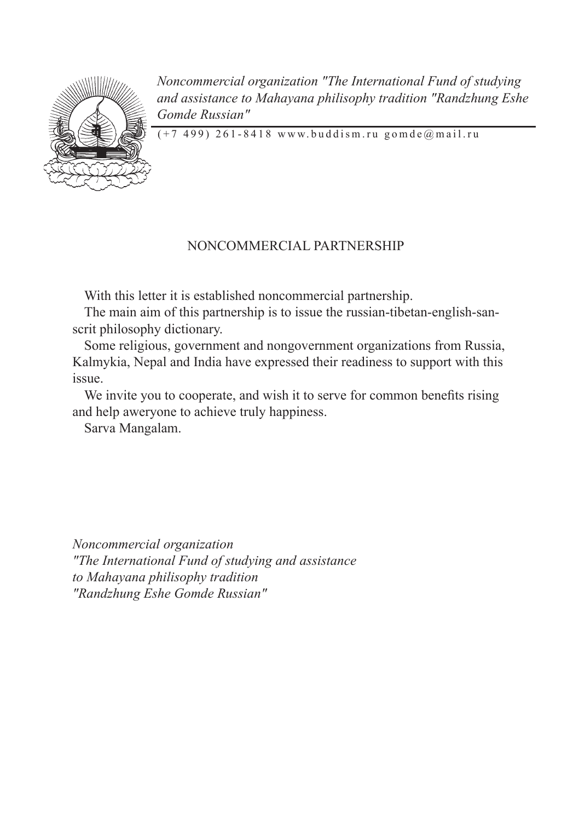

*Noncommercial organization "The International Fund of studying and assistance to Mahayana philisophy tradition "Randzhung Eshe Gomde Russian"*

 $(+7, 499)$  261-8418 www.buddism.ru gomde@mail.ru

# NONCOMMERCIAL PARTNERSHIP

With this letter it is established noncommercial partnership.

The main aim of this partnership is to issue the russian-tibetan-english-sanscrit philosophy dictionary.

Some religious, government and nongovernment organizations from Russia, Kalmykia, Nepal and India have expressed their readiness to support with this issue.

We invite you to cooperate, and wish it to serve for common benefits rising and help aweryone to achieve truly happiness.

Sarva Mangalam.

*Noncommercial organization "The International Fund of studying and assistance to Mahayana philisophy tradition "Randzhung Eshe Gomde Russian"*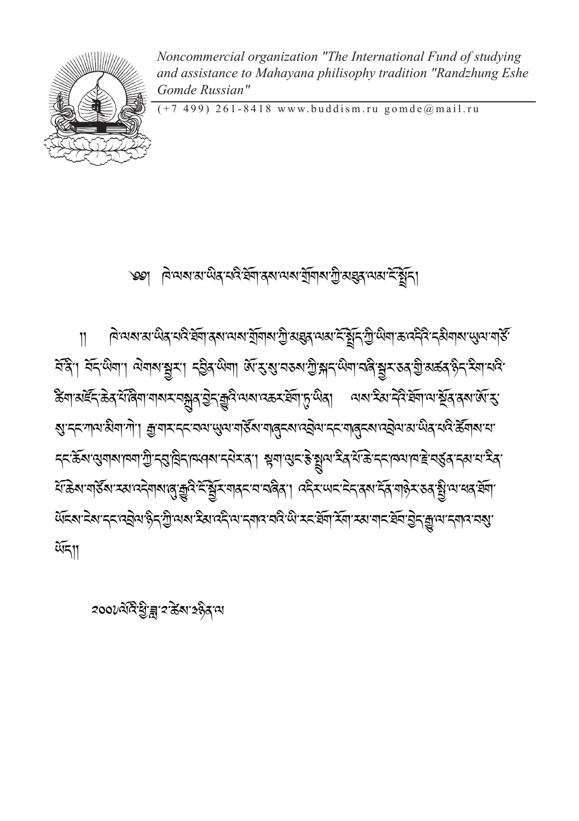*২*০০ $v$ মহিস্টাব্ল'হ'ৰ্ক্সাহেন্ত্ৰীয়াম

ন্দী, মন্দ্ৰোত্ৰা, অনাৰাষ্ট্ৰমা দন্তীৰ লোৱা ৰূপে ৰাজ্য আৰু দুৰ্বাৰ বিৰাজ্য স্থান কৰা বিৰাজ্য কৰা বা ঌন अह्द अन्तर् अस्था कार्य कार्य के स्था के स्वार्थ कर स्वार्थ कार्य कार्य कार्य कार्य कार्य कार्य क ॶॱॸॸॱग़ॺॎॱऄऀॺऻॱग़॓ॱॎऻॖॖॹ॒ॺॸॸॸॱॺॺॱॶॺॱॺऻड़ऀ॔ॺॱॺऻढ़ॖॸॺॱढ़ऄॖॺॱॸॸॱॺऻढ़ॖॸॺॱढ़ऄॖॺॱॺॱऄढ़ॱय़ढ़ऀॱॾॕॺऻॺॱय़ॱ ॸॸॱक़ॖॣऀॺऄॎऀॿऻॴऻख़ऻऄॖऀफ़ऺॖऻॶऻख़ॳख़ख़ख़ख़ख़ख़ख़ॵॷॳख़ख़ख़ॷॳॷॳॳॳॳॳॳॳॳॳॳ में के अपने हैं या स्वायदेवायालु कुरि में ब्रिम्यावर या बर्लेवा। यदैर अमा मेरा वर्षा में वाले राज्य ब्रिया या <u> लूह्य ह्य ह्रद्र्वत्र कुर्युजय स्थान्ध्रा स्थान्स्वर स्थान् कर कुर स्थान्स्य स्थान्स्य कुर्युज्यान्सान् स्था</u>  $\widetilde{\mathfrak{A}}$ 

৩৩। বিবেশ রাজ্য নের ইনা করা লগে মুঁবার মুঁর প্রথম কর্ষীয়

बिल्या राज्य दि इस क्षेत्र के स्वार्थ के स्वार्थ के अधिक स्वार्थ स्टार्ट के स्वार्थ के स्वार्थ स्थान के स्वार्



 $\overline{11}$ 

Noncommercial organization "The International Fund of studving and assistance to Mahayana philisophy tradition "Randzhung Eshe Gomde Russian"

 $(+7, 499)$  261-8418 www.buddism.ru gomde@mail.ru